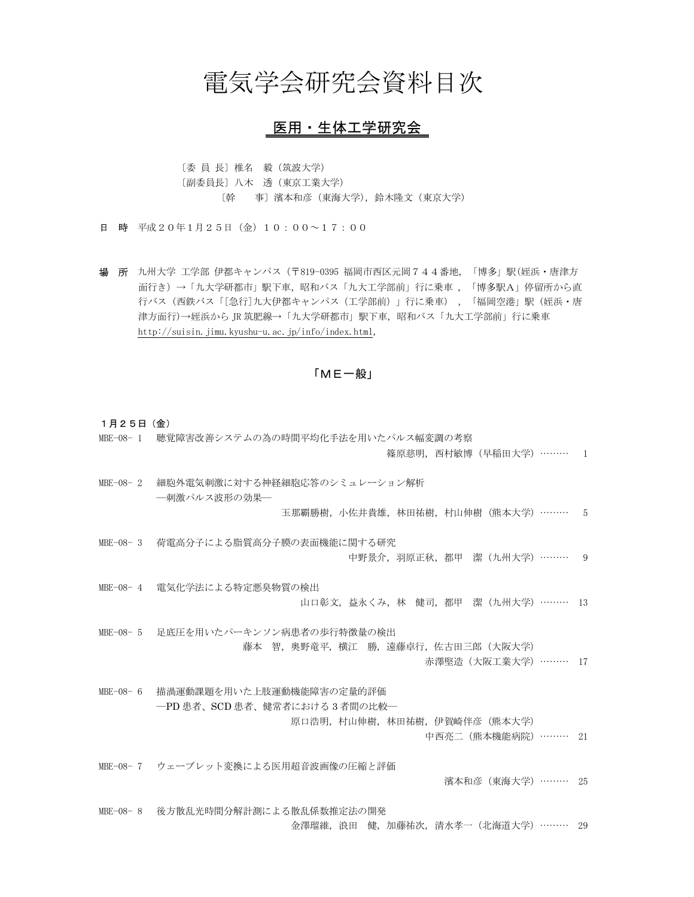## 電気学会研究会資料目次

## 医用・生体工学研究会

〔委 員 長〕椎名 毅(筑波大学) 〔副委員長〕八木 透(東京工業大学) 〔幹 事〕濱本和彦(東海大学),鈴木隆文(東京大学)

日 時 平成20年1月25日(金)10:00~17:00

場 所 九州大学 工学部 伊都キャンパス(〒819-0395 福岡市西区元岡744番地,「博多」駅(姪浜・唐津方 面行き)→「九大学研都市」駅下車,昭和バス「九大工学部前」行に乗車 ,「博多駅A」停留所から直 行バス(西鉄バス「[急行]九大伊都キャンパス(工学部前)」行に乗車) ,「福岡空港」駅 (姪浜・唐 津方面行)→姪浜から JR 筑肥線→「九大学研都市」駅下車,昭和バス「九大工学部前」行に乗車 http://suisin.jimu.kyushu-u.ac.jp/info/index.html,

「ME一般」

1月25日(金)

- MBE-08- 1 聴覚障害改善システムの為の時間平均化手法を用いたパルス幅変調の考察
	- 篠原慈明,西村敏博(早稲田大学)……… 1
- MBE-08- 2 細胞外電気刺激に対する神経細胞応答のシミュレーション解析 ―刺激パルス波形の効果―
	- 玉那覇勝樹,小佐井貴雄,林田祐樹,村山伸樹(熊本大学)……… 5
- MBE-08- 3 荷電高分子による脂質高分子膜の表面機能に関する研究 中野景介,羽原正秋,都甲 潔(九州大学)……… 9
- MBE-08- 4 電気化学法による特定悪臭物質の検出 山口彰文,益永くみ,林 健司,都甲 潔(九州大学)……… 13
- MBE-08- 5 足底圧を用いたパーキンソン病患者の歩行特徴量の検出 藤本 智,奥野竜平,横江 勝,遠藤卓行,佐古田三郎 (大阪大学)
	- 赤澤堅造(大阪工業大学)……… 17
- MBE-08- 6 描渦運動課題を用いた上肢運動機能障害の定量的評価 ―PD 患者、SCD 患者、健常者における 3 者間の比較― 原口浩明,村山伸樹,林田祐樹,伊賀崎伴彦(熊本大学) 中西亮二(熊本機能病院)……… 21

MBE-08- 7 ウェーブレット変換による医用超音波画像の圧縮と評価 濱本和彦(東海大学)……… 25

MBE-08- 8 後方散乱光時間分解計測による散乱係数推定法の開発 金澤瑠維,浪田 健,加藤祐次,清水孝一(北海道大学)……… 29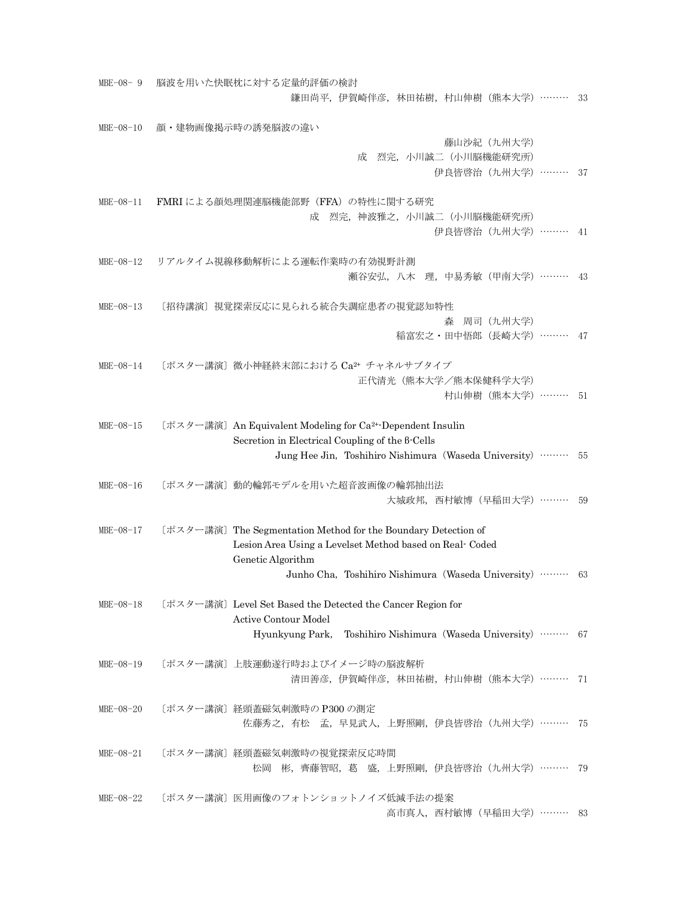| $MBE-08-9$      | 脳波を用いた快眠枕に対する定量的評価の検討                                                  |  |
|-----------------|------------------------------------------------------------------------|--|
|                 | 鎌田尚平, 伊賀崎伴彦, 林田祐樹, 村山伸樹 (熊本大学) ………<br>33                               |  |
| $MBE - 08 - 10$ | 顔・建物画像掲示時の誘発脳波の違い                                                      |  |
|                 | 藤山沙紀 (九州大学)                                                            |  |
|                 | 成 烈完, 小川誠二 (小川脳機能研究所)                                                  |  |
|                 | 伊良皆啓治 (九州大学) ……… 37                                                    |  |
|                 |                                                                        |  |
| $MBE - 08 - 11$ | FMRI による顔処理関連脳機能部野 (FFA) の特性に関する研究                                     |  |
|                 | 成 烈完,神波雅之,小川誠二(小川脳機能研究所)<br>伊良皆啓治 (九州大学) ……… 41                        |  |
|                 |                                                                        |  |
| $MBE-08-12$     | リアルタイム視線移動解析による運転作業時の有効視野計測                                            |  |
|                 | 瀬谷安弘, 八木 理, 中易秀敏 (甲南大学) ………<br>- 43                                    |  |
|                 |                                                                        |  |
| $MBE-08-13$     | 〔招待講演〕視覚探索反応に見られる統合失調症患者の視覚認知特性                                        |  |
|                 | 森 周司 (九州大学)                                                            |  |
|                 | 稲富宏之・田中悟郎(長崎大学)……… 47                                                  |  |
| $MBE-08-14$     | 〔ポスター講演〕微小神経終末部における Ca2+ チャネルサブタイプ                                     |  |
|                 | 正代清光 (熊本大学/熊本保健科学大学)                                                   |  |
|                 | 村山伸樹 (熊本大学) ……… 51                                                     |  |
|                 |                                                                        |  |
| $MBE-08-15$     | 〔ポスター講演〕An Equivalent Modeling for Ca <sup>2+</sup> -Dependent Insulin |  |
|                 | Secretion in Electrical Coupling of the 8-Cells                        |  |
|                 | Jung Hee Jin, Toshihiro Nishimura (Waseda University)  55              |  |
| $MBE-08-16$     | [ポスター講演] 動的輪郭モデルを用いた超音波画像の輪郭抽出法                                        |  |
|                 | 大城政邦, 西村敏博 (早稲田大学) ……… 59                                              |  |
|                 |                                                                        |  |
| $MBE-08-17$     | [ポスター講演] The Segmentation Method for the Boundary Detection of         |  |
|                 | Lesion Area Using a Levelset Method based on Real-Coded                |  |
|                 | Genetic Algorithm                                                      |  |
|                 | Junho Cha, Toshihiro Nishimura (Waseda University)  63                 |  |
| $MBE-08-18$     | [ポスター講演] Level Set Based the Detected the Cancer Region for            |  |
|                 | Active Contour Model                                                   |  |
|                 | Hyunkyung Park, Toshihiro Nishimura (Waseda University)  67            |  |
|                 |                                                                        |  |
| $MBE-08-19$     | [ポスター講演] 上肢運動遂行時およびイメージ時の脳波解析                                          |  |
|                 | 清田善彦, 伊賀崎伴彦, 林田祐樹, 村山伸樹 (熊本大学) ……… 71                                  |  |
| $MBE-08-20$     | 〔ポスター講演〕経頭蓋磁気刺激時の P300 の測定                                             |  |
|                 | 佐藤秀之, 有松 孟, 早見武人, 上野照剛, 伊良皆啓治 (九州大学) ……… 75                            |  |
|                 |                                                                        |  |
| $MBE-08-21$     | 〔ポスター講演〕経頭蓋磁気刺激時の視覚探索反応時間                                              |  |
|                 | 松岡 彬, 齊藤智昭, 葛 盛, 上野照剛, 伊良皆啓治 (九州大学) ……… 79                             |  |
|                 |                                                                        |  |
| $MBE-08-22$     | [ポスター講演] 医用画像のフォトンショットノイズ低減手法の提案                                       |  |
|                 | 高市真人, 西村敏博 (早稲田大学) ……… 83                                              |  |